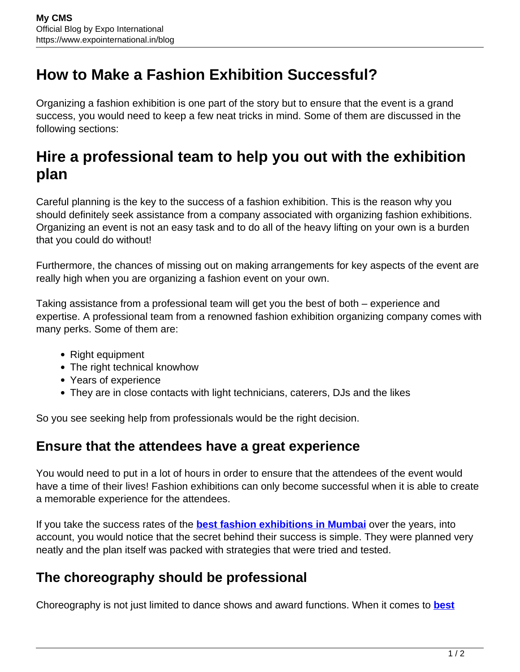# **How to Make a Fashion Exhibition Successful?**

Organizing a fashion exhibition is one part of the story but to ensure that the event is a grand success, you would need to keep a few neat tricks in mind. Some of them are discussed in the following sections:

## **Hire a professional team to help you out with the exhibition plan**

Careful planning is the key to the success of a fashion exhibition. This is the reason why you should definitely seek assistance from a company associated with organizing fashion exhibitions. Organizing an event is not an easy task and to do all of the heavy lifting on your own is a burden that you could do without!

Furthermore, the chances of missing out on making arrangements for key aspects of the event are really high when you are organizing a fashion event on your own.

Taking assistance from a professional team will get you the best of both – experience and expertise. A professional team from a renowned fashion exhibition organizing company comes with many perks. Some of them are:

- Right equipment
- The right technical knowhow
- Years of experience
- They are in close contacts with light technicians, caterers, DJs and the likes

So you see seeking help from professionals would be the right decision.

#### **Ensure that the attendees have a great experience**

You would need to put in a lot of hours in order to ensure that the attendees of the event would have a time of their lives! Fashion exhibitions can only become successful when it is able to create a memorable experience for the attendees.

If you take the success rates of the **[best fashion exhibitions in Mumbai](https://www.expointernational.in/)** over the years, into account, you would notice that the secret behind their success is simple. They were planned very neatly and the plan itself was packed with strategies that were tried and tested.

### **The choreography should be professional**

Choreography is not just limited to dance shows and award functions. When it comes to **[best](https://www.expointernational.in/)**